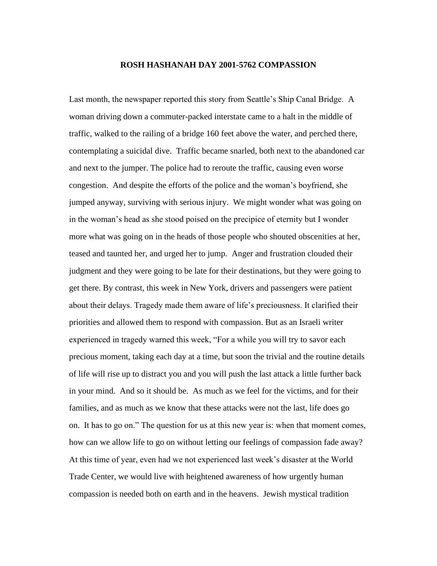## **ROSH HASHANAH DAY 2001-5762 COMPASSION**

Last month, the newspaper reported this story from Seattle's Ship Canal Bridge. A woman driving down a commuter-packed interstate came to a halt in the middle of traffic, walked to the railing of a bridge 160 feet above the water, and perched there, contemplating a suicidal dive. Traffic became snarled, both next to the abandoned car and next to the jumper. The police had to reroute the traffic, causing even worse congestion. And despite the efforts of the police and the woman's boyfriend, she jumped anyway, surviving with serious injury. We might wonder what was going on in the woman's head as she stood poised on the precipice of eternity but I wonder more what was going on in the heads of those people who shouted obscenities at her, teased and taunted her, and urged her to jump. Anger and frustration clouded their judgment and they were going to be late for their destinations, but they were going to get there. By contrast, this week in New York, drivers and passengers were patient about their delays. Tragedy made them aware of life's preciousness. It clarified their priorities and allowed them to respond with compassion. But as an Israeli writer experienced in tragedy warned this week, "For a while you will try to savor each precious moment, taking each day at a time, but soon the trivial and the routine details of life will rise up to distract you and you will push the last attack a little further back in your mind. And so it should be. As much as we feel for the victims, and for their families, and as much as we know that these attacks were not the last, life does go on. It has to go on." The question for us at this new year is: when that moment comes, how can we allow life to go on without letting our feelings of compassion fade away? At this time of year, even had we not experienced last week's disaster at the World Trade Center, we would live with heightened awareness of how urgently human compassion is needed both on earth and in the heavens. Jewish mystical tradition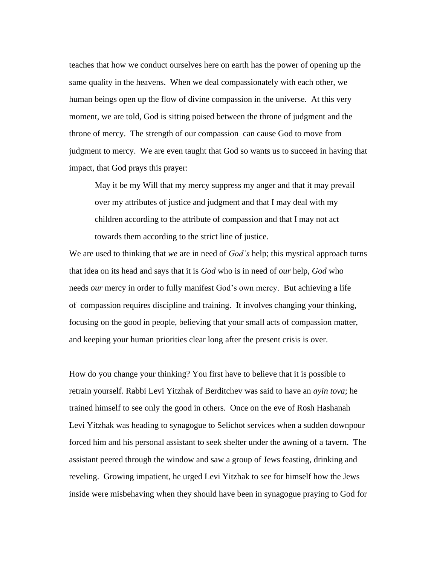teaches that how we conduct ourselves here on earth has the power of opening up the same quality in the heavens. When we deal compassionately with each other, we human beings open up the flow of divine compassion in the universe. At this very moment, we are told, God is sitting poised between the throne of judgment and the throne of mercy. The strength of our compassion can cause God to move from judgment to mercy. We are even taught that God so wants us to succeed in having that impact, that God prays this prayer:

May it be my Will that my mercy suppress my anger and that it may prevail over my attributes of justice and judgment and that I may deal with my children according to the attribute of compassion and that I may not act towards them according to the strict line of justice.

We are used to thinking that *we* are in need of *God's* help; this mystical approach turns that idea on its head and says that it is *God* who is in need of *our* help, *God* who needs *our* mercy in order to fully manifest God's own mercy. But achieving a life of compassion requires discipline and training. It involves changing your thinking, focusing on the good in people, believing that your small acts of compassion matter, and keeping your human priorities clear long after the present crisis is over.

How do you change your thinking? You first have to believe that it is possible to retrain yourself. Rabbi Levi Yitzhak of Berditchev was said to have an *ayin tova*; he trained himself to see only the good in others. Once on the eve of Rosh Hashanah Levi Yitzhak was heading to synagogue to Selichot services when a sudden downpour forced him and his personal assistant to seek shelter under the awning of a tavern. The assistant peered through the window and saw a group of Jews feasting, drinking and reveling. Growing impatient, he urged Levi Yitzhak to see for himself how the Jews inside were misbehaving when they should have been in synagogue praying to God for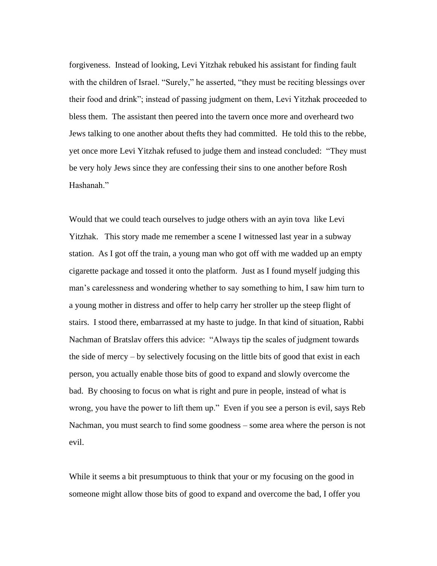forgiveness. Instead of looking, Levi Yitzhak rebuked his assistant for finding fault with the children of Israel. "Surely," he asserted, "they must be reciting blessings over their food and drink"; instead of passing judgment on them, Levi Yitzhak proceeded to bless them. The assistant then peered into the tavern once more and overheard two Jews talking to one another about thefts they had committed. He told this to the rebbe, yet once more Levi Yitzhak refused to judge them and instead concluded: "They must be very holy Jews since they are confessing their sins to one another before Rosh Hashanah."

Would that we could teach ourselves to judge others with an ayin tova like Levi Yitzhak. This story made me remember a scene I witnessed last year in a subway station. As I got off the train, a young man who got off with me wadded up an empty cigarette package and tossed it onto the platform. Just as I found myself judging this man's carelessness and wondering whether to say something to him, I saw him turn to a young mother in distress and offer to help carry her stroller up the steep flight of stairs. I stood there, embarrassed at my haste to judge. In that kind of situation, Rabbi Nachman of Bratslav offers this advice: "Always tip the scales of judgment towards the side of mercy – by selectively focusing on the little bits of good that exist in each person, you actually enable those bits of good to expand and slowly overcome the bad. By choosing to focus on what is right and pure in people, instead of what is wrong, you have the power to lift them up." Even if you see a person is evil, says Reb Nachman, you must search to find some goodness – some area where the person is not evil.

While it seems a bit presumptuous to think that your or my focusing on the good in someone might allow those bits of good to expand and overcome the bad, I offer you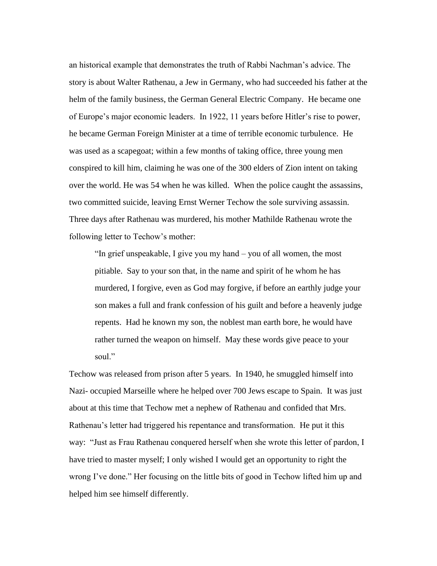an historical example that demonstrates the truth of Rabbi Nachman's advice. The story is about Walter Rathenau, a Jew in Germany, who had succeeded his father at the helm of the family business, the German General Electric Company. He became one of Europe's major economic leaders. In 1922, 11 years before Hitler's rise to power, he became German Foreign Minister at a time of terrible economic turbulence. He was used as a scapegoat; within a few months of taking office, three young men conspired to kill him, claiming he was one of the 300 elders of Zion intent on taking over the world. He was 54 when he was killed. When the police caught the assassins, two committed suicide, leaving Ernst Werner Techow the sole surviving assassin. Three days after Rathenau was murdered, his mother Mathilde Rathenau wrote the following letter to Techow's mother:

"In grief unspeakable, I give you my hand – you of all women, the most pitiable. Say to your son that, in the name and spirit of he whom he has murdered, I forgive, even as God may forgive, if before an earthly judge your son makes a full and frank confession of his guilt and before a heavenly judge repents. Had he known my son, the noblest man earth bore, he would have rather turned the weapon on himself. May these words give peace to your soul."

Techow was released from prison after 5 years. In 1940, he smuggled himself into Nazi- occupied Marseille where he helped over 700 Jews escape to Spain. It was just about at this time that Techow met a nephew of Rathenau and confided that Mrs. Rathenau's letter had triggered his repentance and transformation. He put it this way: "Just as Frau Rathenau conquered herself when she wrote this letter of pardon, I have tried to master myself; I only wished I would get an opportunity to right the wrong I've done." Her focusing on the little bits of good in Techow lifted him up and helped him see himself differently.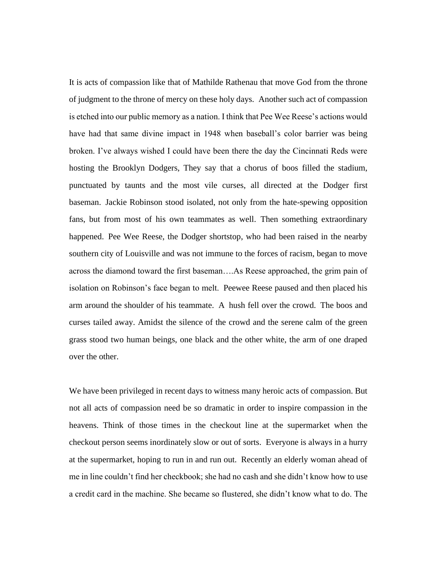It is acts of compassion like that of Mathilde Rathenau that move God from the throne of judgment to the throne of mercy on these holy days. Another such act of compassion is etched into our public memory as a nation. I think that Pee Wee Reese's actions would have had that same divine impact in 1948 when baseball's color barrier was being broken. I've always wished I could have been there the day the Cincinnati Reds were hosting the Brooklyn Dodgers, They say that a chorus of boos filled the stadium, punctuated by taunts and the most vile curses, all directed at the Dodger first baseman. Jackie Robinson stood isolated, not only from the hate-spewing opposition fans, but from most of his own teammates as well. Then something extraordinary happened. Pee Wee Reese, the Dodger shortstop, who had been raised in the nearby southern city of Louisville and was not immune to the forces of racism, began to move across the diamond toward the first baseman….As Reese approached, the grim pain of isolation on Robinson's face began to melt. Peewee Reese paused and then placed his arm around the shoulder of his teammate. A hush fell over the crowd. The boos and curses tailed away. Amidst the silence of the crowd and the serene calm of the green grass stood two human beings, one black and the other white, the arm of one draped over the other.

We have been privileged in recent days to witness many heroic acts of compassion. But not all acts of compassion need be so dramatic in order to inspire compassion in the heavens. Think of those times in the checkout line at the supermarket when the checkout person seems inordinately slow or out of sorts. Everyone is always in a hurry at the supermarket, hoping to run in and run out. Recently an elderly woman ahead of me in line couldn't find her checkbook; she had no cash and she didn't know how to use a credit card in the machine. She became so flustered, she didn't know what to do. The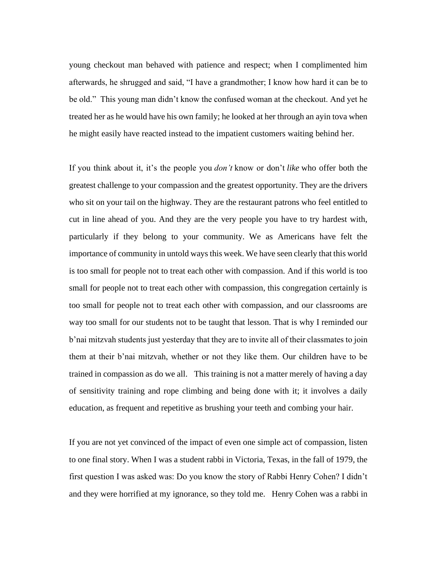young checkout man behaved with patience and respect; when I complimented him afterwards, he shrugged and said, "I have a grandmother; I know how hard it can be to be old." This young man didn't know the confused woman at the checkout. And yet he treated her as he would have his own family; he looked at her through an ayin tova when he might easily have reacted instead to the impatient customers waiting behind her.

If you think about it, it's the people you *don't* know or don't *like* who offer both the greatest challenge to your compassion and the greatest opportunity. They are the drivers who sit on your tail on the highway. They are the restaurant patrons who feel entitled to cut in line ahead of you. And they are the very people you have to try hardest with, particularly if they belong to your community. We as Americans have felt the importance of community in untold ways this week. We have seen clearly that this world is too small for people not to treat each other with compassion. And if this world is too small for people not to treat each other with compassion, this congregation certainly is too small for people not to treat each other with compassion, and our classrooms are way too small for our students not to be taught that lesson. That is why I reminded our b'nai mitzvah students just yesterday that they are to invite all of their classmates to join them at their b'nai mitzvah, whether or not they like them. Our children have to be trained in compassion as do we all. This training is not a matter merely of having a day of sensitivity training and rope climbing and being done with it; it involves a daily education, as frequent and repetitive as brushing your teeth and combing your hair.

If you are not yet convinced of the impact of even one simple act of compassion, listen to one final story. When I was a student rabbi in Victoria, Texas, in the fall of 1979, the first question I was asked was: Do you know the story of Rabbi Henry Cohen? I didn't and they were horrified at my ignorance, so they told me. Henry Cohen was a rabbi in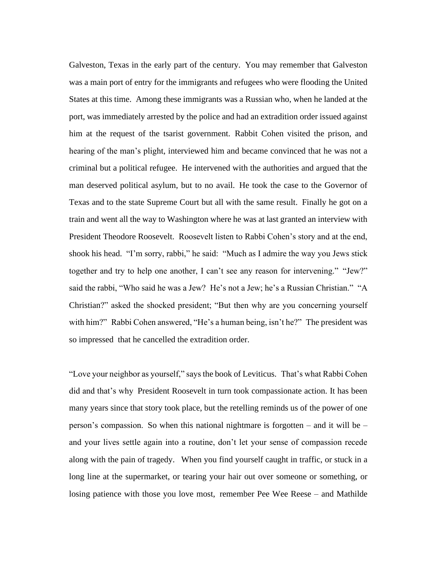Galveston, Texas in the early part of the century. You may remember that Galveston was a main port of entry for the immigrants and refugees who were flooding the United States at this time. Among these immigrants was a Russian who, when he landed at the port, was immediately arrested by the police and had an extradition order issued against him at the request of the tsarist government. Rabbit Cohen visited the prison, and hearing of the man's plight, interviewed him and became convinced that he was not a criminal but a political refugee. He intervened with the authorities and argued that the man deserved political asylum, but to no avail. He took the case to the Governor of Texas and to the state Supreme Court but all with the same result. Finally he got on a train and went all the way to Washington where he was at last granted an interview with President Theodore Roosevelt. Roosevelt listen to Rabbi Cohen's story and at the end, shook his head. "I'm sorry, rabbi," he said: "Much as I admire the way you Jews stick together and try to help one another, I can't see any reason for intervening." "Jew?" said the rabbi, "Who said he was a Jew? He's not a Jew; he's a Russian Christian." "A Christian?" asked the shocked president; "But then why are you concerning yourself with him?" Rabbi Cohen answered, "He's a human being, isn't he?" The president was so impressed that he cancelled the extradition order.

"Love your neighbor as yourself," says the book of Leviticus. That's what Rabbi Cohen did and that's why President Roosevelt in turn took compassionate action. It has been many years since that story took place, but the retelling reminds us of the power of one person's compassion. So when this national nightmare is forgotten – and it will be – and your lives settle again into a routine, don't let your sense of compassion recede along with the pain of tragedy. When you find yourself caught in traffic, or stuck in a long line at the supermarket, or tearing your hair out over someone or something, or losing patience with those you love most, remember Pee Wee Reese – and Mathilde